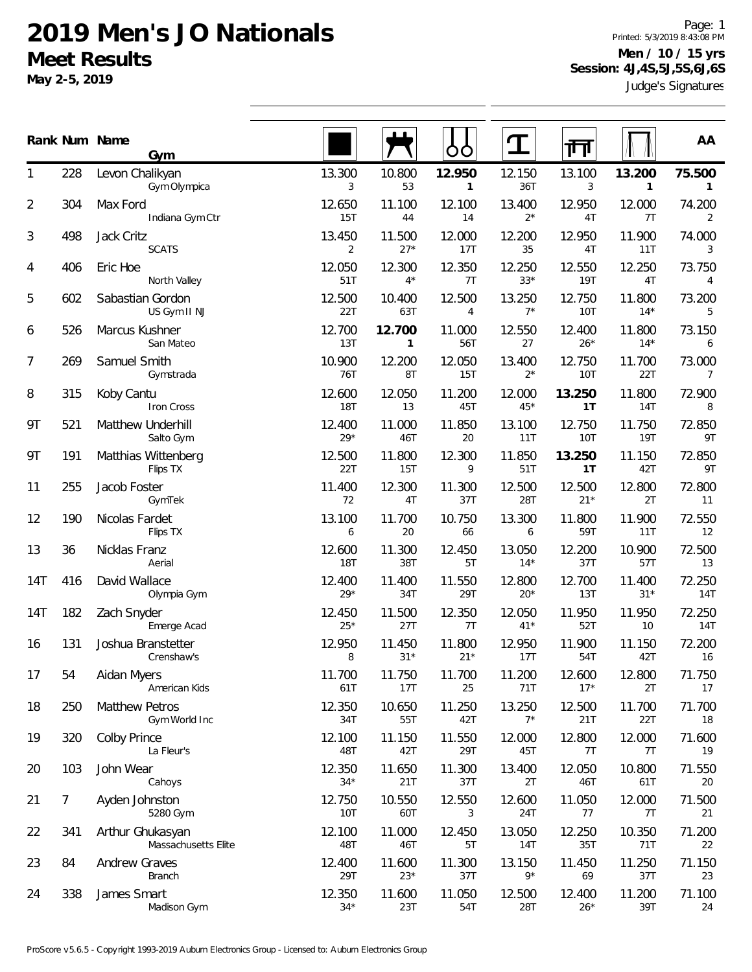**May 2-5, 2019**

Judge's Signatures Page: 1 Printed: 5/3/2019 8:43:08 PM **Men / 10 / 15 yrs Session: 4J,4S,5J,5S,6J,6S**

|                |                | Rank Num Name<br>Gym                    |                      |                        | Ő                      |                 |                      |                        | AA                     |
|----------------|----------------|-----------------------------------------|----------------------|------------------------|------------------------|-----------------|----------------------|------------------------|------------------------|
| 1              | 228            | Levon Chalikyan<br>Gym Olympica         | 13.300<br>3          | 10.800<br>53           | 12.950<br>$\mathbf{1}$ | 12.150<br>36T   | 13.100<br>3          | 13.200<br>$\mathbf{1}$ | 75.500<br>$\mathbf{1}$ |
| $\overline{2}$ | 304            | Max Ford<br>Indiana Gym Ctr             | 12.650<br>15T        | 11.100<br>44           | 12.100<br>14           | 13.400<br>$2^*$ | 12.950<br>4T         | 12.000<br>7T           | 74.200<br>2            |
| 3              | 498            | Jack Critz<br><b>SCATS</b>              | 13.450<br>2          | 11.500<br>$27*$        | 12.000<br>17T          | 12.200<br>35    | 12.950<br>4T         | 11.900<br>11T          | 74.000<br>3            |
| 4              | 406            | Eric Hoe<br>North Valley                | 12.050<br>51T        | 12.300<br>$4^*$        | 12.350<br>7T           | 12.250<br>$33*$ | 12.550<br><b>19T</b> | 12.250<br>4T           | 73.750<br>4            |
| 5              | 602            | Sabastian Gordon<br>US Gym II NJ        | 12.500<br>22T        | 10.400<br>63T          | 12.500<br>4            | 13.250<br>$7^*$ | 12.750<br><b>10T</b> | 11.800<br>$14*$        | 73.200<br>5            |
| 6              | 526            | Marcus Kushner<br>San Mateo             | 12.700<br>13T        | 12.700<br>$\mathbf{1}$ | 11.000<br>56T          | 12.550<br>27    | 12.400<br>$26*$      | 11.800<br>$14*$        | 73.150<br>6            |
| 7              | 269            | Samuel Smith<br>Gymstrada               | 10.900<br>76T        | 12.200<br>8T           | 12.050<br>15T          | 13.400<br>$2*$  | 12.750<br>10T        | 11.700<br>22T          | 73.000<br>7            |
| 8              | 315            | Koby Cantu<br>Iron Cross                | 12.600<br><b>18T</b> | 12.050<br>13           | 11.200<br>45T          | 12.000<br>$45*$ | 13.250<br>1T         | 11.800<br>14T          | 72.900<br>8            |
| 9Τ             | 521            | Matthew Underhill<br>Salto Gym          | 12.400<br>$29*$      | 11.000<br>46T          | 11.850<br>20           | 13.100<br>11T   | 12.750<br><b>10T</b> | 11.750<br>19T          | 72.850<br>9T           |
| 9Τ             | 191            | Matthias Wittenberg<br>Flips TX         | 12.500<br>22T        | 11.800<br>15T          | 12.300<br>9            | 11.850<br>51T   | 13.250<br>1T         | 11.150<br>42T          | 72.850<br>9T           |
| 11             | 255            | Jacob Foster<br>GymTek                  | 11.400<br>72         | 12.300<br>4T           | 11.300<br>37T          | 12.500<br>28T   | 12.500<br>$21*$      | 12.800<br>2T           | 72.800<br>11           |
| 12             | 190            | Nicolas Fardet<br>Flips TX              | 13.100<br>6          | 11.700<br>20           | 10.750<br>66           | 13.300<br>6     | 11.800<br>59T        | 11.900<br>11T          | 72.550<br>12           |
| 13             | 36             | Nicklas Franz<br>Aerial                 | 12.600<br><b>18T</b> | 11.300<br>38T          | 12.450<br>5T           | 13.050<br>$14*$ | 12.200<br>37T        | 10.900<br>57T          | 72.500<br>13           |
| 14T            | 416            | David Wallace<br>Olympia Gym            | 12.400<br>$29*$      | 11.400<br>34T          | 11.550<br>29T          | 12.800<br>$20*$ | 12.700<br>13T        | 11.400<br>$31*$        | 72.250<br>14T          |
| 14T            | 182            | Zach Snyder<br>Emerge Acad              | 12.450<br>$25*$      | 11.500<br>27T          | 12.350<br>7T           | 12.050<br>$41*$ | 11.950<br>52T        | 11.950<br>10           | 72.250<br>14T          |
| 16             | 131            | Joshua Branstetter<br>Crenshaw's        | 12.950<br>8          | 11.450<br>$31*$        | 11.800<br>$21*$        | 12.950<br>17T   | 11.900<br>54T        | 11.150<br>42T          | 72.200<br>16           |
| 17             | 54             | Aidan Myers<br>American Kids            | 11.700<br>61T        | 11.750<br>17T          | 11.700<br>25           | 11.200<br>71T   | 12.600<br>$17*$      | 12.800<br>2T           | 71.750<br>17           |
| 18             | 250            | <b>Matthew Petros</b><br>Gym World Inc  | 12.350<br>34T        | 10.650<br>55T          | 11.250<br>42T          | 13.250<br>$7^*$ | 12.500<br>21T        | 11.700<br>22T          | 71.700<br>18           |
| 19             | 320            | <b>Colby Prince</b><br>La Fleur's       | 12.100<br>48T        | 11.150<br>42T          | 11.550<br>29T          | 12.000<br>45T   | 12.800<br>7T         | 12.000<br>7T           | 71.600<br>19           |
| 20             | 103            | John Wear<br>Cahoys                     | 12.350<br>$34*$      | 11.650<br>21T          | 11.300<br>37T          | 13.400<br>2T    | 12.050<br>46T        | 10.800<br>61T          | 71.550<br>20           |
| 21             | $\overline{7}$ | Ayden Johnston<br>5280 Gym              | 12.750<br>10T        | 10.550<br>60T          | 12.550<br>3            | 12.600<br>24T   | 11.050<br>77         | 12.000<br>7T           | 71.500<br>21           |
| 22             | 341            | Arthur Ghukasyan<br>Massachusetts Elite | 12.100<br>48T        | 11.000<br>46T          | 12.450<br>5T           | 13.050<br>14T   | 12.250<br>35T        | 10.350<br>71T          | 71.200<br>22           |
| 23             | 84             | Andrew Graves<br>Branch                 | 12.400<br>29T        | 11.600<br>$23*$        | 11.300<br>37T          | 13.150<br>9*    | 11.450<br>69         | 11.250<br>37T          | 71.150<br>23           |
| 24             | 338            | James Smart<br>Madison Gym              | 12.350<br>$34*$      | 11.600<br>23T          | 11.050<br>54T          | 12.500<br>28T   | 12.400<br>$26*$      | 11.200<br>39T          | 71.100<br>24           |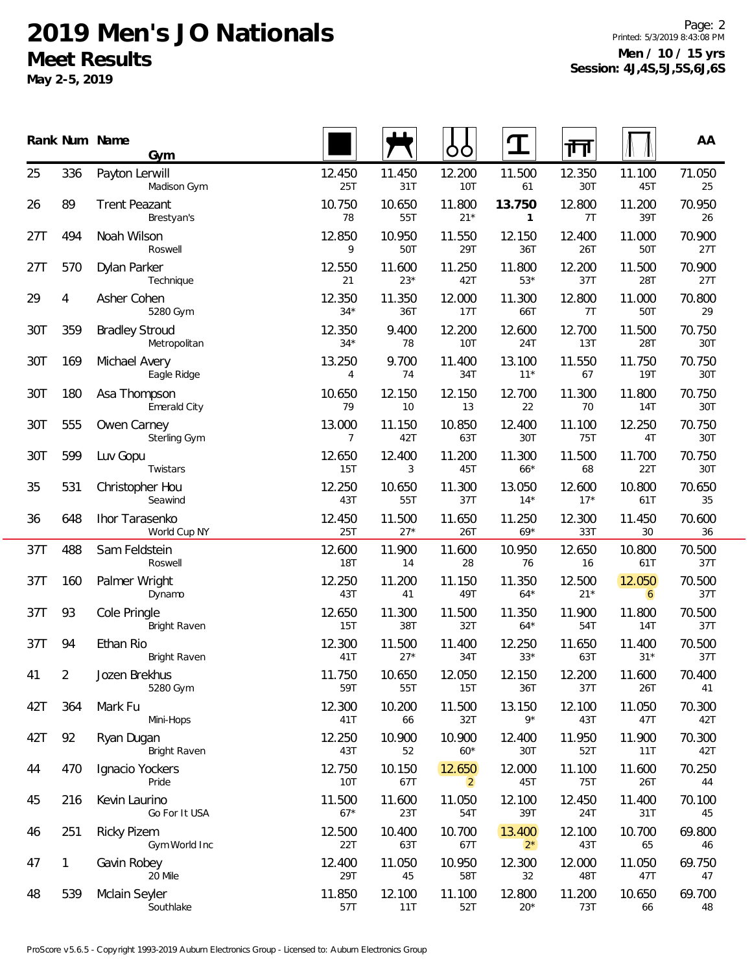**May 2-5, 2019**

Page: 2 Printed: 5/3/2019 8:43:08 PM **Men / 10 / 15 yrs Session: 4J,4S,5J,5S,6J,6S**

|     |     | Rank Num Name<br>Gym                  |                          |                 | OO                       | $\mathbf T$            | 襾               |                          | AA            |
|-----|-----|---------------------------------------|--------------------------|-----------------|--------------------------|------------------------|-----------------|--------------------------|---------------|
| 25  | 336 | Payton Lerwill<br>Madison Gym         | 12.450<br>25T            | 11.450<br>31T   | 12.200<br>10T            | 11.500<br>61           | 12.350<br>30T   | 11.100<br>45T            | 71.050<br>25  |
| 26  | 89  | <b>Trent Peazant</b><br>Brestyan's    | 10.750<br>78             | 10.650<br>55T   | 11.800<br>$21*$          | 13.750<br>$\mathbf{1}$ | 12.800<br>7T    | 11.200<br>39T            | 70.950<br>26  |
| 27T | 494 | Noah Wilson<br>Roswell                | 12.850<br>9              | 10.950<br>50T   | 11.550<br>29T            | 12.150<br>36T          | 12.400<br>26T   | 11.000<br>50T            | 70.900<br>27T |
| 27T | 570 | Dylan Parker<br>Technique             | 12.550<br>21             | 11.600<br>$23*$ | 11.250<br>42T            | 11.800<br>$53*$        | 12.200<br>37T   | 11.500<br>28T            | 70.900<br>27T |
| 29  | 4   | Asher Cohen<br>5280 Gym               | 12.350<br>$34*$          | 11.350<br>36T   | 12.000<br>17T            | 11.300<br>66T          | 12.800<br>7T    | 11.000<br>50T            | 70.800<br>29  |
| 30T | 359 | <b>Bradley Stroud</b><br>Metropolitan | 12.350<br>$34*$          | 9.400<br>78     | 12.200<br><b>10T</b>     | 12.600<br>24T          | 12.700<br>13T   | 11.500<br>28T            | 70.750<br>30T |
| 30T | 169 | Michael Avery<br>Eagle Ridge          | 13.250<br>4              | 9.700<br>74     | 11.400<br>34T            | 13.100<br>$11*$        | 11.550<br>67    | 11.750<br><b>19T</b>     | 70.750<br>30T |
| 30T | 180 | Asa Thompson<br>Emerald City          | 10.650<br>79             | 12.150<br>10    | 12.150<br>13             | 12.700<br>22           | 11.300<br>70    | 11.800<br>14T            | 70.750<br>30T |
| 30T | 555 | Owen Carney<br>Sterling Gym           | 13.000<br>$\overline{7}$ | 11.150<br>42T   | 10.850<br>63T            | 12.400<br>30T          | 11.100<br>75T   | 12.250<br>4T             | 70.750<br>30T |
| 30T | 599 | Luv Gopu<br>Twistars                  | 12.650<br>15T            | 12.400<br>3     | 11.200<br>45T            | 11.300<br>$66*$        | 11.500<br>68    | 11.700<br>22T            | 70.750<br>30T |
| 35  | 531 | Christopher Hou<br>Seawind            | 12.250<br>43T            | 10.650<br>55T   | 11.300<br>37T            | 13.050<br>$14*$        | 12.600<br>$17*$ | 10.800<br>61T            | 70.650<br>35  |
| 36  | 648 | Ihor Tarasenko<br>World Cup NY        | 12.450<br>25T            | 11.500<br>$27*$ | 11.650<br>26T            | 11.250<br>$69*$        | 12.300<br>33T   | 11.450<br>30             | 70.600<br>36  |
| 37T | 488 | Sam Feldstein<br>Roswell              | 12.600<br><b>18T</b>     | 11.900<br>14    | 11.600<br>28             | 10.950<br>76           | 12.650<br>16    | 10.800<br>61T            | 70.500<br>37T |
| 37T | 160 | Palmer Wright<br>Dynamo               | 12.250<br>43T            | 11.200<br>41    | 11.150<br>49T            | 11.350<br>$64*$        | 12.500<br>$21*$ | 12.050<br>$\overline{6}$ | 70.500<br>37T |
| 37T | 93  | Cole Pringle<br><b>Bright Raven</b>   | 12.650<br>15T            | 11.300<br>38T   | 11.500<br>32T            | 11.350<br>$64*$        | 11.900<br>54T   | 11.800<br><b>14T</b>     | 70.500<br>37T |
| 37T | 94  | Ethan Rio<br><b>Bright Raven</b>      | 12.300<br>41T            | 11.500<br>$27*$ | 11.400<br>34T            | 12.250<br>$33*$        | 11.650<br>63T   | 11.400<br>$31*$          | 70.500<br>37T |
| 41  | 2   | Jozen Brekhus<br>5280 Gym             | 11.750<br>59T            | 10.650<br>55T   | 12.050<br>15T            | 12.150<br>36T          | 12.200<br>37T   | 11.600<br>26T            | 70.400<br>41  |
| 42T | 364 | Mark Fu<br>Mini-Hops                  | 12.300<br>41T            | 10.200<br>66    | 11.500<br>32T            | 13.150<br>$9*$         | 12.100<br>43T   | 11.050<br>47T            | 70.300<br>42T |
| 42T | 92  | Ryan Dugan<br>Bright Raven            | 12.250<br>43T            | 10.900<br>52    | 10.900<br>$60*$          | 12.400<br>30T          | 11.950<br>52T   | 11.900<br>11T            | 70.300<br>42T |
| 44  | 470 | Ignacio Yockers<br>Pride              | 12.750<br>10T            | 10.150<br>67T   | 12.650<br>$\overline{2}$ | 12.000<br>45T          | 11.100<br>75T   | 11.600<br>26T            | 70.250<br>44  |
| 45  | 216 | Kevin Laurino<br>Go For It USA        | 11.500<br>$67*$          | 11.600<br>23T   | 11.050<br>54T            | 12.100<br>39T          | 12.450<br>24T   | 11.400<br>31T            | 70.100<br>45  |
| 46  | 251 | <b>Ricky Pizem</b><br>Gym World Inc   | 12.500<br>22T            | 10.400<br>63T   | 10.700<br>67T            | 13.400<br>$2^*$        | 12.100<br>43T   | 10.700<br>65             | 69.800<br>46  |
| 47  | 1   | Gavin Robey<br>20 Mile                | 12.400<br>29T            | 11.050<br>45    | 10.950<br>58T            | 12.300<br>32           | 12.000<br>48T   | 11.050<br>47T            | 69.750<br>47  |
| 48  | 539 | Mclain Seyler<br>Southlake            | 11.850<br>57T            | 12.100<br>11T   | 11.100<br>52T            | 12.800<br>$20*$        | 11.200<br>73T   | 10.650<br>66             | 69.700<br>48  |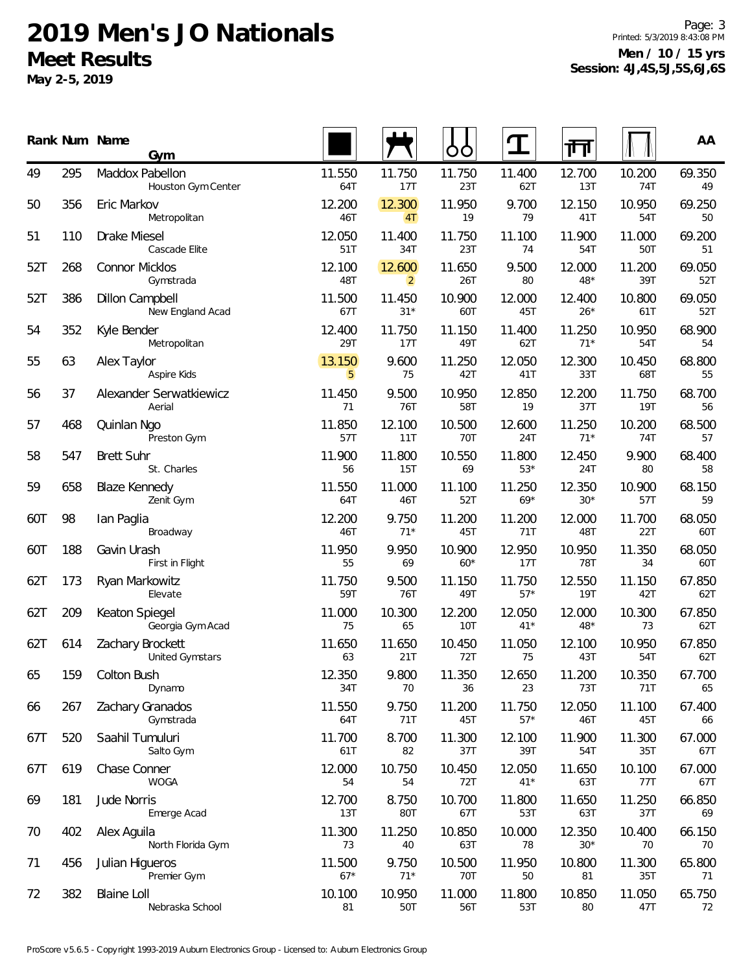**May 2-5, 2019**

Page: 3 Printed: 5/3/2019 8:43:08 PM **Men / 10 / 15 yrs Session: 4J,4S,5J,5S,6J,6S**

|     |     | Rank Num Name<br>Gym                       |                 |                          | Ő               |                 | ╓╜              |               | AA            |
|-----|-----|--------------------------------------------|-----------------|--------------------------|-----------------|-----------------|-----------------|---------------|---------------|
| 49  | 295 | Maddox Pabellon<br>Houston Gym Center      | 11.550<br>64T   | 11.750<br>17T            | 11.750<br>23T   | 11.400<br>62T   | 12.700<br>13T   | 10.200<br>74T | 69.350<br>49  |
| 50  | 356 | Eric Markov<br>Metropolitan                | 12.200<br>46T   | 12.300<br>4T             | 11.950<br>19    | 9.700<br>79     | 12.150<br>41T   | 10.950<br>54T | 69.250<br>50  |
| 51  | 110 | Drake Miesel<br>Cascade Elite              | 12.050<br>51T   | 11.400<br>34T            | 11.750<br>23T   | 11.100<br>74    | 11.900<br>54T   | 11.000<br>50T | 69.200<br>51  |
| 52T | 268 | <b>Connor Micklos</b><br>Gymstrada         | 12.100<br>48T   | 12.600<br>$\overline{2}$ | 11.650<br>26T   | 9.500<br>80     | 12.000<br>48*   | 11.200<br>39T | 69.050<br>52T |
| 52T | 386 | Dillon Campbell<br>New England Acad        | 11.500<br>67T   | 11.450<br>$31*$          | 10.900<br>60T   | 12.000<br>45T   | 12.400<br>$26*$ | 10.800<br>61T | 69.050<br>52T |
| 54  | 352 | Kyle Bender<br>Metropolitan                | 12.400<br>29T   | 11.750<br>17T            | 11.150<br>49T   | 11.400<br>62T   | 11.250<br>$71*$ | 10.950<br>54T | 68.900<br>54  |
| 55  | 63  | Alex Taylor<br>Aspire Kids                 | 13.150<br>5     | 9.600<br>75              | 11.250<br>42T   | 12.050<br>41T   | 12.300<br>33T   | 10.450<br>68T | 68.800<br>55  |
| 56  | 37  | Alexander Serwatkiewicz<br>Aerial          | 11.450<br>71    | 9.500<br>76T             | 10.950<br>58T   | 12.850<br>19    | 12.200<br>37T   | 11.750<br>19T | 68.700<br>56  |
| 57  | 468 | Quinlan Ngo<br>Preston Gym                 | 11.850<br>57T   | 12.100<br>11T            | 10.500<br>70T   | 12.600<br>24T   | 11.250<br>$71*$ | 10.200<br>74T | 68.500<br>57  |
| 58  | 547 | <b>Brett Suhr</b><br>St. Charles           | 11.900<br>56    | 11.800<br>15T            | 10.550<br>69    | 11.800<br>$53*$ | 12.450<br>24T   | 9.900<br>80   | 68.400<br>58  |
| 59  | 658 | <b>Blaze Kennedy</b><br>Zenit Gym          | 11.550<br>64T   | 11.000<br>46T            | 11.100<br>52T   | 11.250<br>$69*$ | 12.350<br>$30*$ | 10.900<br>57T | 68.150<br>59  |
| 60T | 98  | lan Paglia<br>Broadway                     | 12.200<br>46T   | 9.750<br>$71*$           | 11.200<br>45T   | 11.200<br>71T   | 12.000<br>48T   | 11.700<br>22T | 68.050<br>60T |
| 60T | 188 | Gavin Urash<br>First in Flight             | 11.950<br>55    | 9.950<br>69              | 10.900<br>$60*$ | 12.950<br>17T   | 10.950<br>78T   | 11.350<br>34  | 68.050<br>60T |
| 62T | 173 | Ryan Markowitz<br>Elevate                  | 11.750<br>59T   | 9.500<br>76T             | 11.150<br>49T   | 11.750<br>$57*$ | 12.550<br>19T   | 11.150<br>42T | 67.850<br>62T |
| 62T | 209 | Keaton Spiegel<br>Georgia Gym Acad         | 11.000<br>75    | 10.300<br>65             | 12.200<br>10T   | 12.050<br>$41*$ | 12.000<br>48*   | 10.300<br>73  | 67.850<br>62T |
| 62T | 614 | Zachary Brockett<br><b>United Gymstars</b> | 11.650<br>63    | 11.650<br>21T            | 10.450<br>72T   | 11.050<br>75    | 12.100<br>43T   | 10.950<br>54T | 67.850<br>62T |
| 65  | 159 | Colton Bush<br>Dynamo                      | 12.350<br>34T   | 9.800<br>70              | 11.350<br>36    | 12.650<br>23    | 11.200<br>73T   | 10.350<br>71T | 67.700<br>65  |
| 66  | 267 | Zachary Granados<br>Gymstrada              | 11.550<br>64T   | 9.750<br>71T             | 11.200<br>45T   | 11.750<br>$57*$ | 12.050<br>46T   | 11.100<br>45T | 67.400<br>66  |
| 67T | 520 | Saahil Tumuluri<br>Salto Gym               | 11.700<br>61T   | 8.700<br>82              | 11.300<br>37T   | 12.100<br>39T   | 11.900<br>54T   | 11.300<br>35T | 67.000<br>67T |
| 67T | 619 | Chase Conner<br><b>WOGA</b>                | 12.000<br>54    | 10.750<br>54             | 10.450<br>72T   | 12.050<br>$41*$ | 11.650<br>63T   | 10.100<br>77T | 67.000<br>67T |
| 69  | 181 | Jude Norris<br>Emerge Acad                 | 12.700<br>13T   | 8.750<br>80T             | 10.700<br>67T   | 11.800<br>53T   | 11.650<br>63T   | 11.250<br>37T | 66.850<br>69  |
| 70  | 402 | Alex Aguila<br>North Florida Gym           | 11.300<br>73    | 11.250<br>40             | 10.850<br>63T   | 10.000<br>78    | 12.350<br>$30*$ | 10.400<br>70  | 66.150<br>70  |
| 71  | 456 | Julian Higueros<br>Premier Gym             | 11.500<br>$67*$ | 9.750<br>$71*$           | 10.500<br>70T   | 11.950<br>50    | 10.800<br>81    | 11.300<br>35T | 65.800<br>71  |
| 72  | 382 | <b>Blaine Loll</b><br>Nebraska School      | 10.100<br>81    | 10.950<br>50T            | 11.000<br>56T   | 11.800<br>53T   | 10.850<br>80    | 11.050<br>47T | 65.750<br>72  |